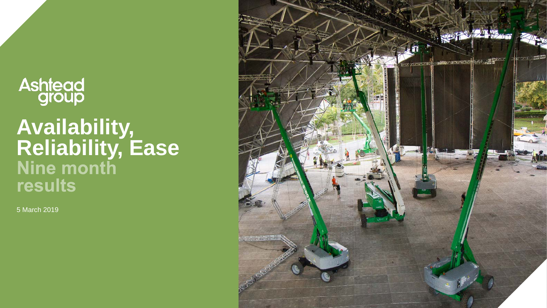# **Ashtead**<br>group

# **Availability, Reliability, Ease** results

5 March 2019

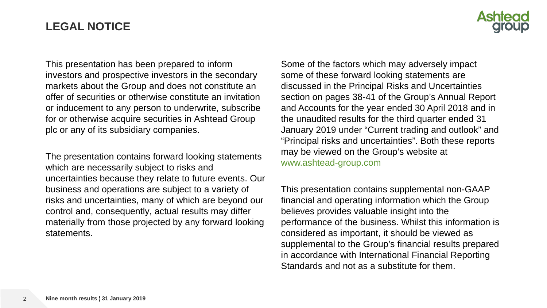

This presentation has been prepared to inform investors and prospective investors in the secondary markets about the Group and does not constitute an offer of securities or otherwise constitute an invitation or inducement to any person to underwrite, subscribe for or otherwise acquire securities in Ashtead Group plc or any of its subsidiary companies.

The presentation contains forward looking statements which are necessarily subject to risks and uncertainties because they relate to future events. Our business and operations are subject to a variety of risks and uncertainties, many of which are beyond our control and, consequently, actual results may differ materially from those projected by any forward looking statements.

Some of the factors which may adversely impact some of these forward looking statements are discussed in the Principal Risks and Uncertainties section on pages 38-41 of the Group's Annual Report and Accounts for the year ended 30 April 2018 and in the unaudited results for the third quarter ended 31 January 2019 under "Current trading and outlook" and "Principal risks and uncertainties". Both these reports may be viewed on the Group's website at www.ashtead-group.com

This presentation contains supplemental non-GAAP financial and operating information which the Group believes provides valuable insight into the performance of the business. Whilst this information is considered as important, it should be viewed as supplemental to the Group's financial results prepared in accordance with International Financial Reporting Standards and not as a substitute for them.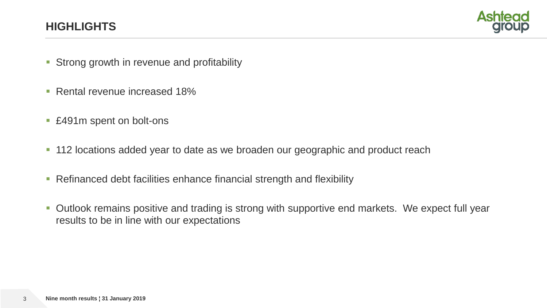## **HIGHLIGHTS**



- **Strong growth in revenue and profitability**
- Rental revenue increased 18%
- £491m spent on bolt-ons
- **112 locations added year to date as we broaden our geographic and product reach**
- **Refinanced debt facilities enhance financial strength and flexibility**
- **Outlook remains positive and trading is strong with supportive end markets. We expect full year** results to be in line with our expectations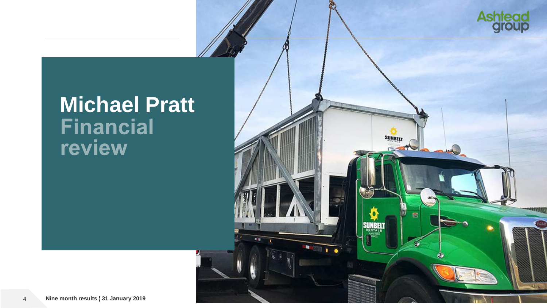

# **Michael Pratt**<br>Financial review

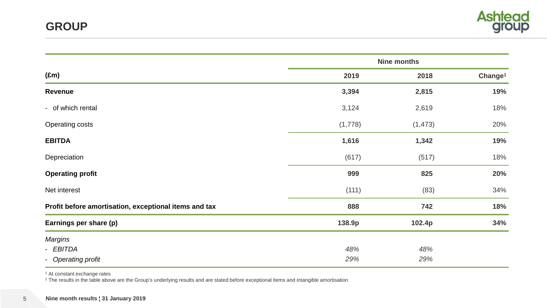

|                                                       |         | <b>Nine months</b> |                     |
|-------------------------------------------------------|---------|--------------------|---------------------|
| $(\text{Em})$                                         | 2019    | 2018               | Change <sup>1</sup> |
| Revenue                                               | 3,394   | 2,815              | 19%                 |
| - of which rental                                     | 3,124   | 2,619              | 18%                 |
| <b>Operating costs</b>                                | (1,778) | (1, 473)           | 20%                 |
| <b>EBITDA</b>                                         | 1,616   | 1,342              | 19%                 |
| Depreciation                                          | (617)   | (517)              | 18%                 |
| <b>Operating profit</b>                               | 999     | 825                | 20%                 |
| Net interest                                          | (111)   | (83)               | 34%                 |
| Profit before amortisation, exceptional items and tax | 888     | 742                | 18%                 |
| Earnings per share (p)                                | 138.9p  | 102.4p             | 34%                 |
| <b>Margins</b>                                        |         |                    |                     |
| - EBITDA                                              | 48%     | 48%                |                     |
| - Operating profit                                    | 29%     | 29%                |                     |

<sup>1</sup> At constant exchange rates

 $^2$  The results in the table above are the Group's underlying results and are stated before exceptional items and intangible amortisation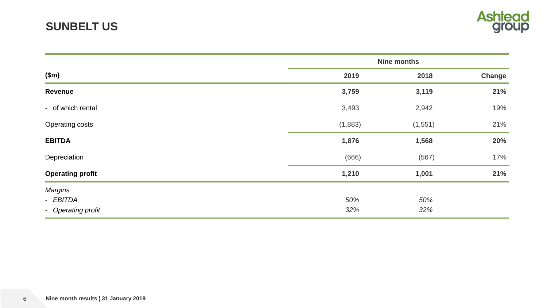

|                         |         | <b>Nine months</b> |        |
|-------------------------|---------|--------------------|--------|
| \$m\$                   | 2019    | 2018               | Change |
| <b>Revenue</b>          | 3,759   | 3,119              | 21%    |
| - of which rental       | 3,493   | 2,942              | 19%    |
| <b>Operating costs</b>  | (1,883) | (1, 551)           | 21%    |
| <b>EBITDA</b>           | 1,876   | 1,568              | 20%    |
| Depreciation            | (666)   | (567)              | 17%    |
| <b>Operating profit</b> | 1,210   | 1,001              | 21%    |
| <b>Margins</b>          |         |                    |        |
| - EBITDA                | 50%     | 50%                |        |
| - Operating profit      | 32%     | 32%                |        |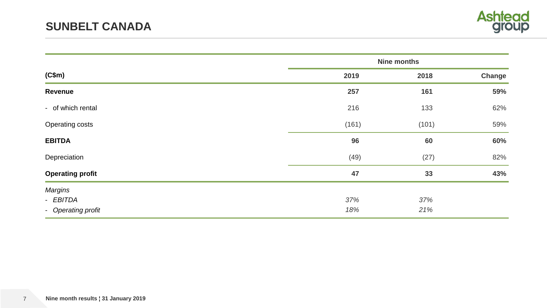

|                         |       | <b>Nine months</b> |        |
|-------------------------|-------|--------------------|--------|
| (C\$m)                  | 2019  | 2018               | Change |
| Revenue                 | 257   | 161                | 59%    |
| - of which rental       | 216   | 133                | 62%    |
| <b>Operating costs</b>  | (161) | (101)              | 59%    |
| <b>EBITDA</b>           | 96    | 60                 | 60%    |
| Depreciation            | (49)  | (27)               | 82%    |
| <b>Operating profit</b> | 47    | 33                 | 43%    |
| <b>Margins</b>          |       |                    |        |
| - EBITDA                | 37%   | 37%                |        |
| - Operating profit      | 18%   | 21%                |        |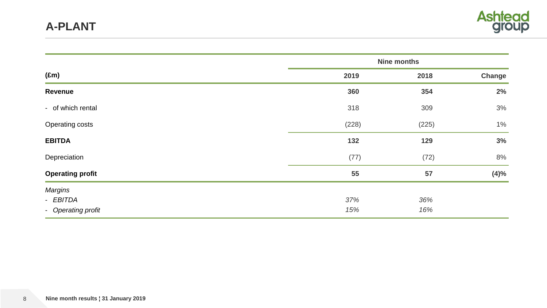

|                         |       | <b>Nine months</b> |        |
|-------------------------|-------|--------------------|--------|
| $(\text{Em})$           | 2019  | 2018               | Change |
| Revenue                 | 360   | 354                | 2%     |
| - of which rental       | 318   | 309                | 3%     |
| Operating costs         | (228) | (225)              | $1\%$  |
| <b>EBITDA</b>           | 132   | 129                | 3%     |
| Depreciation            | (77)  | (72)               | 8%     |
| <b>Operating profit</b> | 55    | 57                 | (4)%   |
| <b>Margins</b>          |       |                    |        |
| - EBITDA                | 37%   | 36%                |        |
| - Operating profit      | 15%   | 16%                |        |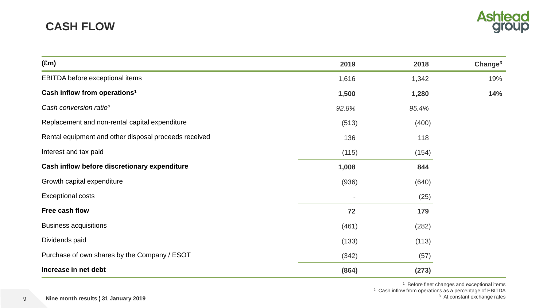

| $(\text{Em})$                                         | 2019  | 2018  | Change <sup>3</sup> |
|-------------------------------------------------------|-------|-------|---------------------|
| EBITDA before exceptional items                       | 1,616 | 1,342 | 19%                 |
| Cash inflow from operations <sup>1</sup>              | 1,500 | 1,280 | 14%                 |
| Cash conversion ratio <sup>2</sup>                    | 92.8% | 95.4% |                     |
| Replacement and non-rental capital expenditure        | (513) | (400) |                     |
| Rental equipment and other disposal proceeds received | 136   | 118   |                     |
| Interest and tax paid                                 | (115) | (154) |                     |
| Cash inflow before discretionary expenditure          | 1,008 | 844   |                     |
| Growth capital expenditure                            | (936) | (640) |                     |
| <b>Exceptional costs</b>                              |       | (25)  |                     |
| Free cash flow                                        | 72    | 179   |                     |
| <b>Business acquisitions</b>                          | (461) | (282) |                     |
| Dividends paid                                        | (133) | (113) |                     |
| Purchase of own shares by the Company / ESOT          | (342) | (57)  |                     |
| Increase in net debt                                  | (864) | (273) |                     |

<sup>1</sup> Before fleet changes and exceptional items

<sup>2</sup> Cash inflow from operations as a percentage of EBITDA <sup>3</sup> At constant exchange rates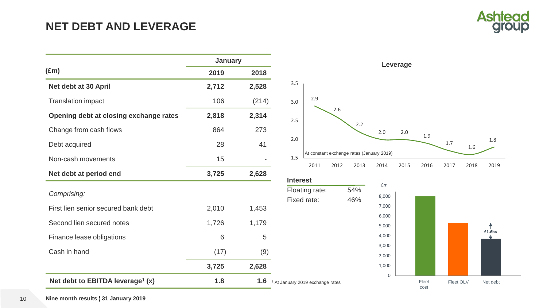

|                                              | January |       |                                             |                   |      |
|----------------------------------------------|---------|-------|---------------------------------------------|-------------------|------|
| $(\text{Em})$                                | 2019    | 2018  |                                             |                   |      |
| Net debt at 30 April                         | 2,712   | 2,528 | 3.5                                         |                   |      |
| <b>Translation impact</b>                    | 106     | (214) | 3.0                                         | 2.9               |      |
| Opening debt at closing exchange rates       | 2,818   | 2,314 | 2.5                                         |                   | 2.6  |
| Change from cash flows                       | 864     | 273   |                                             |                   |      |
| Debt acquired                                | 28      | 41    | 2.0                                         |                   |      |
| Non-cash movements                           | 15      |       | 1.5                                         | At constant excha |      |
| Net debt at period end                       | 3,725   | 2,628 |                                             | 2011              | 2012 |
|                                              |         |       | <b>Interest</b>                             | Floating rate:    |      |
| Comprising:                                  |         |       |                                             | Fixed rate:       |      |
| First lien senior secured bank debt          | 2,010   | 1,453 |                                             |                   |      |
| Second lien secured notes                    | 1,726   | 1,179 |                                             |                   |      |
| Finance lease obligations                    | 6       | 5     |                                             |                   |      |
| Cash in hand                                 | (17)    | (9)   |                                             |                   |      |
|                                              | 3,725   | 2,628 |                                             |                   |      |
| Net debt to EBITDA leverage <sup>1</sup> (x) | 1.8     | 1.6   | <sup>1</sup> At January 2019 exchange rates |                   |      |





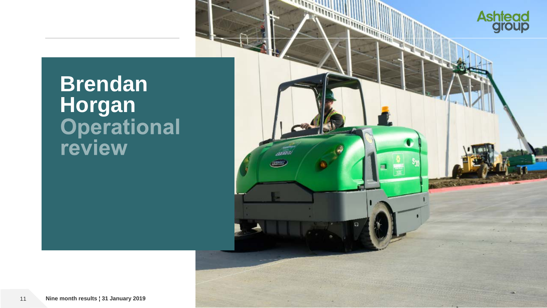

# **Brendan**  Horgan<br>
Operational<br>
review

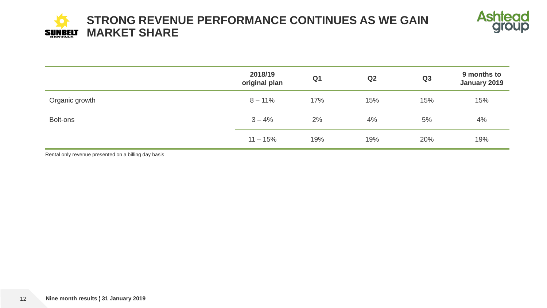

|                | 2018/19<br>original plan | Q <sub>1</sub> | Q2  | Q3  | 9 months to<br>January 2019 |
|----------------|--------------------------|----------------|-----|-----|-----------------------------|
| Organic growth | $8 - 11\%$               | 17%            | 15% | 15% | 15%                         |
| Bolt-ons       | $3 - 4%$                 | 2%             | 4%  | 5%  | 4%                          |
|                | $11 - 15%$               | 19%            | 19% | 20% | 19%                         |

Rental only revenue presented on a billing day basis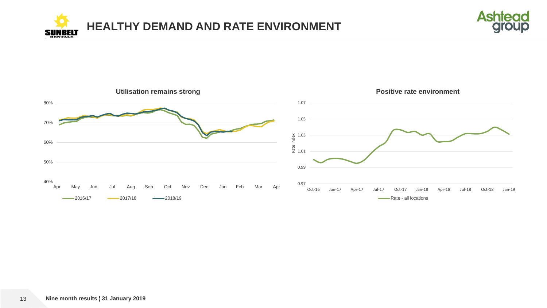



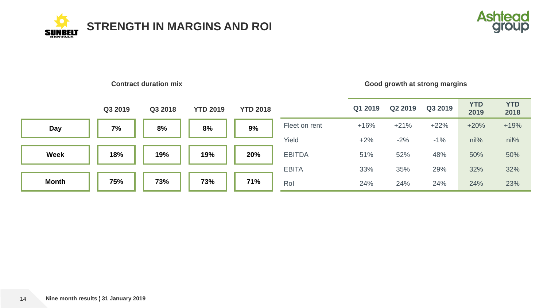





14 **Nine month results ¦ 31 January 2019**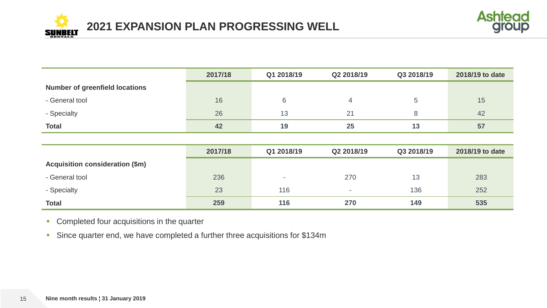



|                                       | 2017/18 | Q1 2018/19 | Q2 2018/19 | Q3 2018/19 | 2018/19 to date |
|---------------------------------------|---------|------------|------------|------------|-----------------|
| <b>Number of greenfield locations</b> |         |            |            |            |                 |
| - General tool                        | 16      | 6          |            |            | 15              |
| - Specialty                           | 26      | 13         | 21         |            | 42              |
| <b>Total</b>                          | 42      | 19         | 25         | 13         | 57              |

|                                 | 2017/18 | Q1 2018/19               | Q2 2018/19               | Q3 2018/19 | 2018/19 to date |
|---------------------------------|---------|--------------------------|--------------------------|------------|-----------------|
| Acquisition consideration (\$m) |         |                          |                          |            |                 |
| - General tool                  | 236     | $\overline{\phantom{a}}$ | 270                      | 13         | 283             |
| - Specialty                     | 23      | 116                      | $\overline{\phantom{0}}$ | 136        | 252             |
| <b>Total</b>                    | 259     | 116                      | 270                      | 149        | 535             |

**Completed four acquisitions in the quarter** 

**Since quarter end, we have completed a further three acquisitions for \$134m**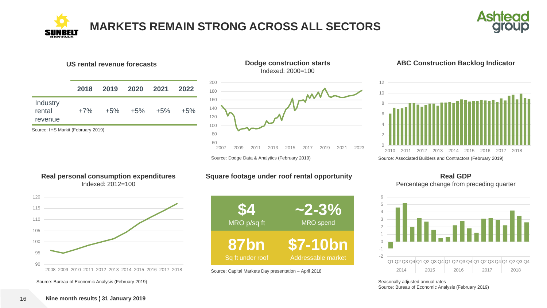



#### **US rental revenue forecasts**

| Industry<br>rental<br>+5% +5% +5%<br>$+7\%$<br>revenue | 2018 | 2019 2020 2021 2022 |        |
|--------------------------------------------------------|------|---------------------|--------|
|                                                        |      |                     | $+5\%$ |

Source: IHS Markit (February 2019)

SII





#### **ABC Construction Backlog Indicator**



#### **Real personal consumption expenditures** Indexed: 2012=100



Source: Bureau of Economic Analysis (February 2019)

#### **Square footage under roof rental opportunity**



Source: Capital Markets Day presentation – April 2018

#### **Real GDP** Percentage change from preceding quarter



Seasonally adjusted annual rates Source: Bureau of Economic Analysis (February 2019)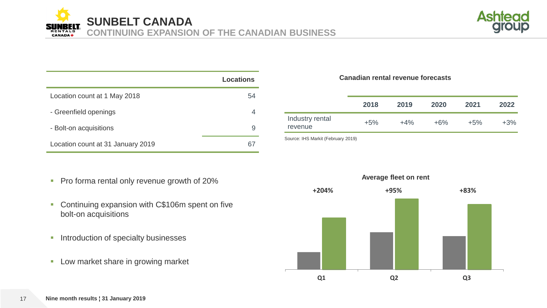**SUNBELT CANADA**

**CONTINUING EXPANSION OF THE CANADIAN BUSINESS**



|                                   | Locations |
|-----------------------------------|-----------|
| Location count at 1 May 2018      | 54        |
| - Greenfield openings             | 4         |
| - Bolt-on acquisitions            | 9         |
| Location count at 31 January 2019 |           |

- Pro forma rental only revenue growth of 20%
- **Continuing expansion with C\$106m spent on five** bolt-on acquisitions
- **Introduction of specialty businesses**
- **Low market share in growing market**

#### **Canadian rental revenue forecasts**

|                                             | 2018  | 2019   | 2020   | 2021  | 2022   |
|---------------------------------------------|-------|--------|--------|-------|--------|
| Industry rental<br>revenue                  | $+5%$ | $+4\%$ | $+6\%$ | $+5%$ | $+3\%$ |
| $0.1110 M1$ (Feb $1.110 M2$ (Feb $1.110 M2$ |       |        |        |       |        |

Source: IHS Markit (February 2019)



**CANADA**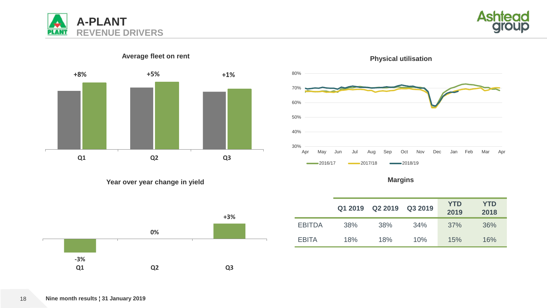





## Average fleet on rent **Physical utilisation**



**Year over year change in yield Margins Margins Margins Margins** 



|               | Q1 2019 | Q2 2019 | Q3 2019 | <b>YTD</b><br>2019 | <b>YTD</b><br>2018 |
|---------------|---------|---------|---------|--------------------|--------------------|
| <b>EBITDA</b> | 38%     | 38%     | 34%     | 37%                | 36%                |
| <b>EBITA</b>  | 18%     | 18%     | 10%     | 15%                | 16%                |

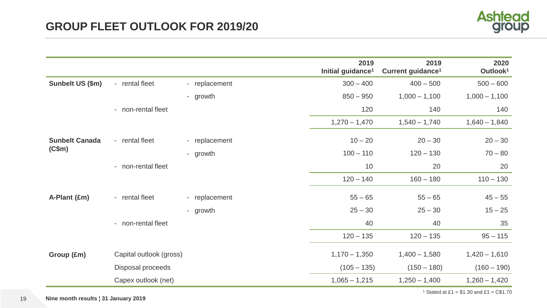

|                       |                         |               | 2019<br>Initial guidance <sup>1</sup> | 2019<br>Current guidance <sup>1</sup> | 2020<br>Outlook <sup>1</sup> |
|-----------------------|-------------------------|---------------|---------------------------------------|---------------------------------------|------------------------------|
| Sunbelt US (\$m)      | - rental fleet          | - replacement | $300 - 400$                           | $400 - 500$                           | $500 - 600$                  |
|                       |                         | - growth      | $850 - 950$                           | $1,000 - 1,100$                       | $1,000 - 1,100$              |
|                       | - non-rental fleet      |               | 120                                   | 140                                   | 140                          |
|                       |                         |               | $1,270 - 1,470$                       | $1,540 - 1,740$                       | $1,640 - 1,840$              |
| <b>Sunbelt Canada</b> | - rental fleet          | - replacement | $10 - 20$                             | $20 - 30$                             | $20 - 30$                    |
| (C\$m)                |                         | - growth      | $100 - 110$                           | $120 - 130$                           | $70 - 80$                    |
|                       | - non-rental fleet      |               | 10                                    | 20                                    | 20                           |
|                       |                         |               | $120 - 140$                           | $160 - 180$                           | $110 - 130$                  |
| A-Plant (£m)          | - rental fleet          | - replacement | $55 - 65$                             | $55 - 65$                             | $45 - 55$                    |
|                       |                         | - growth      | $25 - 30$                             | $25 - 30$                             | $15 - 25$                    |
|                       | - non-rental fleet      |               | 40                                    | 40                                    | 35                           |
|                       |                         |               | $120 - 135$                           | $120 - 135$                           | $95 - 115$                   |
| Group (£m)            | Capital outlook (gross) |               | $1,170 - 1,350$                       | $1,400 - 1,580$                       | $1,420 - 1,610$              |
|                       | Disposal proceeds       |               | $(105 - 135)$                         | $(150 - 180)$                         | $(160 - 190)$                |
|                       | Capex outlook (net)     |               | $1,065 - 1,215$                       | $1,250 - 1,400$                       | $1,260 - 1,420$              |

<sup>1</sup> Stated at £1 =  $$1.30$  and £1 = C\$1.70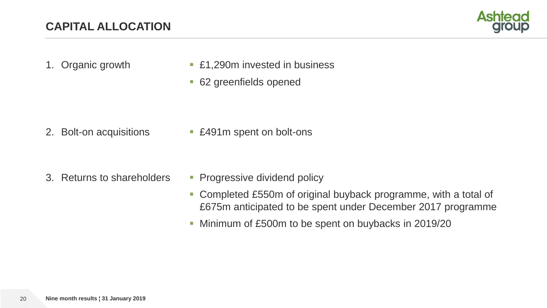

- 
- 1. Organic growth **E1,290m** invested in business
	- 62 greenfields opened

2. Bolt-on acquisitions **E** £491m spent on bolt-ons

- 3. Returns to shareholders Progressive dividend policy
	- Completed £550m of original buyback programme, with a total of £675m anticipated to be spent under December 2017 programme
	- Minimum of £500m to be spent on buybacks in 2019/20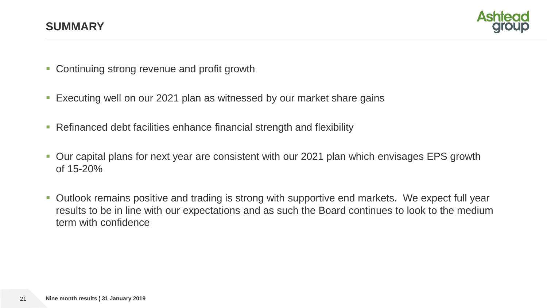

- Continuing strong revenue and profit growth
- **Executing well on our 2021 plan as witnessed by our market share gains**
- **Refinanced debt facilities enhance financial strength and flexibility**
- Our capital plans for next year are consistent with our 2021 plan which envisages EPS growth of 15-20%
- **Dutlook remains positive and trading is strong with supportive end markets. We expect full year** results to be in line with our expectations and as such the Board continues to look to the medium term with confidence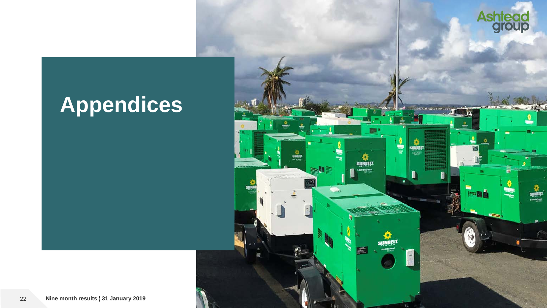

**May 20** 

as na Sean<br>agus Seale

**SUNBELT** 

蒙

 $\overline{\mathbf{m}}$ 

# **Appendices**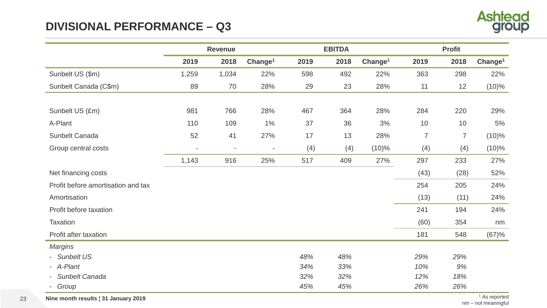# **DIVISIONAL PERFORMANCE – Q3**



|                                    | <b>Revenue</b>           |                          |                          |      | <b>EBITDA</b> |                     | <b>Profit</b> |                |                     |  |
|------------------------------------|--------------------------|--------------------------|--------------------------|------|---------------|---------------------|---------------|----------------|---------------------|--|
|                                    | 2019                     | 2018                     | Change <sup>1</sup>      | 2019 | 2018          | Change <sup>1</sup> | 2019          | 2018           | Change <sup>1</sup> |  |
| Sunbelt US (\$m)                   | 1,259                    | 1,034                    | 22%                      | 598  | 492           | 22%                 | 363           | 298            | 22%                 |  |
| Sunbelt Canada (C\$m)              | 89                       | 70                       | 28%                      | 29   | 23            | 28%                 | 11            | 12             | $(10)\%$            |  |
|                                    |                          |                          |                          |      |               |                     |               |                |                     |  |
| Sunbelt US (£m)                    | 981                      | 766                      | 28%                      | 467  | 364           | 28%                 | 284           | 220            | 29%                 |  |
| A-Plant                            | 110                      | 109                      | 1%                       | 37   | 36            | 3%                  | 10            | 10             | 5%                  |  |
| Sunbelt Canada                     | 52                       | 41                       | 27%                      | 17   | 13            | 28%                 | 7             | $\overline{7}$ | $(10)\%$            |  |
| Group central costs                | $\overline{\phantom{a}}$ | $\overline{\phantom{a}}$ | $\overline{\phantom{a}}$ | (4)  | (4)           | $(10)\%$            | (4)           | (4)            | $(10)\%$            |  |
|                                    | 1,143                    | 916                      | 25%                      | 517  | 409           | 27%                 | 297           | 233            | 27%                 |  |
| Net financing costs                |                          |                          |                          |      |               |                     | (43)          | (28)           | 52%                 |  |
| Profit before amortisation and tax |                          |                          |                          |      |               |                     | 254           | 205            | 24%                 |  |
| Amortisation                       |                          |                          |                          |      |               |                     | (13)          | (11)           | 24%                 |  |
| Profit before taxation             |                          |                          |                          |      |               |                     | 241           | 194            | 24%                 |  |
| Taxation                           |                          |                          |                          |      |               |                     | (60)          | 354            | nm                  |  |
| Profit after taxation              |                          |                          |                          |      |               |                     | 181           | 548            | (67)%               |  |
| <b>Margins</b>                     |                          |                          |                          |      |               |                     |               |                |                     |  |
| - Sunbelt US                       |                          |                          |                          | 48%  | 48%           |                     | 29%           | 29%            |                     |  |
| - A-Plant                          |                          |                          |                          | 34%  | 33%           |                     | 10%           | 9%             |                     |  |
| - Sunbelt Canada                   |                          |                          |                          | 32%  | 32%           |                     | 12%           | 18%            |                     |  |
| - Group                            |                          |                          |                          | 45%  | 45%           |                     | 26%           | 26%            |                     |  |

23 **Nine month results | 31 January 2019** 1 As reported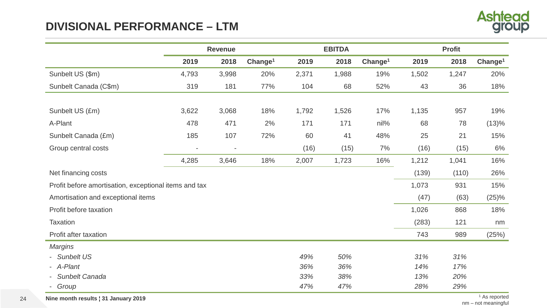# **DIVISIONAL PERFORMANCE – LTM**



|                                                       | <b>Revenue</b>           |                          |                     |       | <b>EBITDA</b> |                     | <b>Profit</b> |       |                     |  |
|-------------------------------------------------------|--------------------------|--------------------------|---------------------|-------|---------------|---------------------|---------------|-------|---------------------|--|
|                                                       | 2019                     | 2018                     | Change <sup>1</sup> | 2019  | 2018          | Change <sup>1</sup> | 2019          | 2018  | Change <sup>1</sup> |  |
| Sunbelt US (\$m)                                      | 4,793                    | 3,998                    | 20%                 | 2,371 | 1,988         | 19%                 | 1,502         | 1,247 | 20%                 |  |
| Sunbelt Canada (C\$m)                                 | 319                      | 181                      | 77%                 | 104   | 68            | 52%                 | 43            | 36    | 18%                 |  |
|                                                       |                          |                          |                     |       |               |                     |               |       |                     |  |
| Sunbelt US (£m)                                       | 3,622                    | 3,068                    | 18%                 | 1,792 | 1,526         | 17%                 | 1,135         | 957   | 19%                 |  |
| A-Plant                                               | 478                      | 471                      | 2%                  | 171   | 171           | nil%                | 68            | 78    | (13)%               |  |
| Sunbelt Canada (£m)                                   | 185                      | 107                      | 72%                 | 60    | 41            | 48%                 | 25            | 21    | 15%                 |  |
| Group central costs                                   | $\overline{\phantom{a}}$ | $\overline{\phantom{a}}$ |                     | (16)  | (15)          | 7%                  | (16)          | (15)  | 6%                  |  |
|                                                       | 4,285                    | 3,646                    | 18%                 | 2,007 | 1,723         | 16%                 | 1,212         | 1,041 | 16%                 |  |
| Net financing costs                                   |                          |                          |                     |       |               |                     | (139)         | (110) | 26%                 |  |
| Profit before amortisation, exceptional items and tax |                          |                          |                     |       |               |                     | 1,073         | 931   | 15%                 |  |
| Amortisation and exceptional items                    |                          |                          |                     |       |               |                     | (47)          | (63)  | (25)%               |  |
| Profit before taxation                                |                          |                          |                     |       |               |                     | 1,026         | 868   | 18%                 |  |
| <b>Taxation</b>                                       |                          |                          |                     |       |               |                     | (283)         | 121   | nm                  |  |
| Profit after taxation                                 |                          |                          |                     |       |               |                     | 743           | 989   | (25%)               |  |
| <b>Margins</b>                                        |                          |                          |                     |       |               |                     |               |       |                     |  |
| - Sunbelt US                                          |                          |                          |                     | 49%   | 50%           |                     | 31%           | 31%   |                     |  |
| - A-Plant                                             |                          |                          |                     | 36%   | 36%           |                     | 14%           | 17%   |                     |  |
| <b>Sunbelt Canada</b>                                 |                          |                          |                     | 33%   | 38%           |                     | 13%           | 20%   |                     |  |
| Group                                                 |                          |                          |                     | 47%   | 47%           |                     | 28%           | 29%   |                     |  |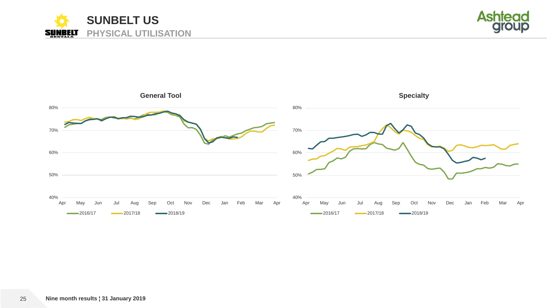



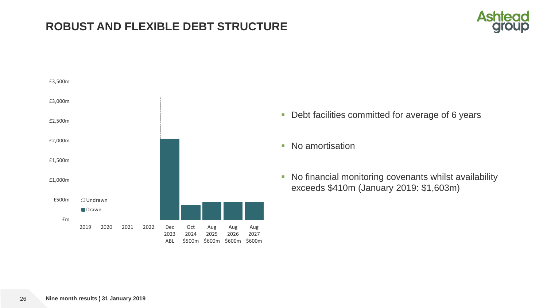



- **-** Debt facilities committed for average of 6 years
- No amortisation
- No financial monitoring covenants whilst availability exceeds \$410m (January 2019: \$1,603m)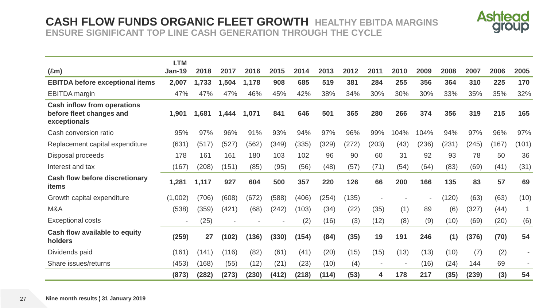## **CASH FLOW FUNDS ORGANIC FLEET GROWTH HEALTHY EBITDA MARGINS ENSURE SIGNIFICANT TOP LINE CASH GENERATION THROUGH THE CYCLE**



|                                                                                | <b>LTM</b>    |       |       |       |       |       |       |       |                          |                |       |       |       |       |       |
|--------------------------------------------------------------------------------|---------------|-------|-------|-------|-------|-------|-------|-------|--------------------------|----------------|-------|-------|-------|-------|-------|
| $(\text{Em})$                                                                  | <b>Jan-19</b> | 2018  | 2017  | 2016  | 2015  | 2014  | 2013  | 2012  | 2011                     | 2010           | 2009  | 2008  | 2007  | 2006  | 2005  |
| <b>EBITDA before exceptional items</b>                                         | 2,007         | 1,733 | 1,504 | 1,178 | 908   | 685   | 519   | 381   | 284                      | 255            | 356   | 364   | 310   | 225   | 170   |
| <b>EBITDA</b> margin                                                           | 47%           | 47%   | 47%   | 46%   | 45%   | 42%   | 38%   | 34%   | 30%                      | 30%            | 30%   | 33%   | 35%   | 35%   | 32%   |
| <b>Cash inflow from operations</b><br>before fleet changes and<br>exceptionals | 1,901         | 1,681 | 1,444 | 1,071 | 841   | 646   | 501   | 365   | 280                      | 266            | 374   | 356   | 319   | 215   | 165   |
| Cash conversion ratio                                                          | 95%           | 97%   | 96%   | 91%   | 93%   | 94%   | 97%   | 96%   | 99%                      | 104%           | 104%  | 94%   | 97%   | 96%   | 97%   |
| Replacement capital expenditure                                                | (631)         | (517) | (527) | (562) | (349) | (335) | (329) | (272) | (203)                    | (43)           | (236) | (231) | (245) | (167) | (101) |
| Disposal proceeds                                                              | 178           | 161   | 161   | 180   | 103   | 102   | 96    | 90    | 60                       | 31             | 92    | 93    | 78    | 50    | 36    |
| Interest and tax                                                               | (167)         | (208) | (151) | (85)  | (95)  | (56)  | (48)  | (57)  | (71)                     | (54)           | (64)  | (83)  | (69)  | (41)  | (31)  |
| <b>Cash flow before discretionary</b><br><b>items</b>                          | 1,281         | 1,117 | 927   | 604   | 500   | 357   | 220   | 126   | 66                       | 200            | 166   | 135   | 83    | 57    | 69    |
| Growth capital expenditure                                                     | (1,002)       | (706) | (608) | (672) | (588) | (406) | (254) | (135) |                          |                |       | (120) | (63)  | (63)  | (10)  |
| M&A                                                                            | (538)         | (359) | (421) | (68)  | (242) | (103) | (34)  | (22)  | (35)                     | (1)            | 89    | (6)   | (327) | (44)  |       |
| <b>Exceptional costs</b>                                                       |               | (25)  |       |       |       | (2)   | (16)  | (3)   | (12)                     | (8)            | (9)   | (10)  | (69)  | (20)  | (6)   |
| Cash flow available to equity<br>holders                                       | (259)         | 27    | (102) | (136) | (330) | (154) | (84)  | (35)  | 19                       | 191            | 246   | (1)   | (376) | (70)  | 54    |
| Dividends paid                                                                 | (161)         | (141) | (116) | (82)  | (61)  | (41)  | (20)  | (15)  | (15)                     | (13)           | (13)  | (10)  | (7)   | (2)   |       |
| Share issues/returns                                                           | (453)         | (168) | (55)  | (12)  | (21)  | (23)  | (10)  | (4)   | $\overline{\phantom{a}}$ | $\blacksquare$ | (16)  | (24)  | 144   | 69    |       |
|                                                                                | (873)         | (282) | (273) | (230) | (412) | (218) | (114) | (53)  | 4                        | 178            | 217   | (35)  | (239) | (3)   | 54    |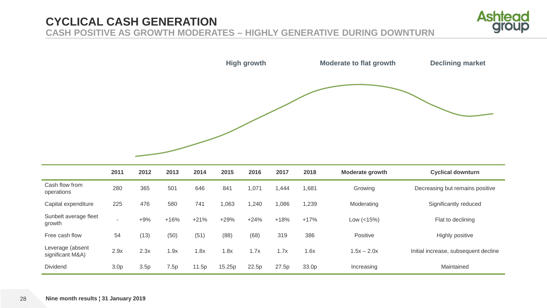## **CYCLICAL CASH GENERATION CASH POSITIVE AS GROWTH MODERATES – HIGHLY GENERATIVE DURING DOWNTURN**



|                              |      |      |      |      |       | <b>High growth</b> |       |       | <b>Moderate to flat growth</b> | <b>Declining market</b>         |
|------------------------------|------|------|------|------|-------|--------------------|-------|-------|--------------------------------|---------------------------------|
|                              |      |      |      |      |       |                    |       |       |                                |                                 |
|                              | 2011 | 2012 | 2013 | 2014 | 2015  | 2016               | 2017  | 2018  | <b>Moderate growth</b>         | <b>Cyclical downturn</b>        |
| Cash flow from<br>operations | 280  | 365  | 501  | 646  | 841   | 1,071              | 1,444 | 1,681 | Growing                        | Decreasing but remains positive |
| Capital expenditure          | 225  | 476  | 580  | 741  | 1,063 | 1,240              | 1,086 | 1,239 | Moderating                     | Significantly reduced           |

| <b>UGURU UADUTURU U</b>              | ∠∠∪              | <b>TIV</b> | <u>JUU</u> | $1 - 1$ | טטט    | . . 2 . 7 . 7 | uu     | ں بے ا | <u>MOULLANIN</u> | <b>UIGHING INTERNATIONAL</b>         |
|--------------------------------------|------------------|------------|------------|---------|--------|---------------|--------|--------|------------------|--------------------------------------|
| Sunbelt average fleet<br>growth      |                  | $+9%$      | $+16%$     | $+21%$  | $+29%$ | $+24%$        | $+18%$ | $+17%$ | Low $(<15\%)$    | Flat to declining                    |
| Free cash flow                       | 54               | (13)       | (50)       | (51)    | (88)   | (68)          | 319    | 386    | Positive         | Highly positive                      |
| Leverage (absent<br>significant M&A) | 2.9x             | 2.3x       | .9x        | 1.8x    | .8x    | 1.7x          | 1.7x   | 1.6x   | $1.5x - 2.0x$    | Initial increase, subsequent decline |
| <b>Dividend</b>                      | 3.0 <sub>p</sub> | 3.5p       | .5p        | 11.5p   | 15.25p | 22.5p         | 27.5p  | 33.0p  | Increasing       | Maintained                           |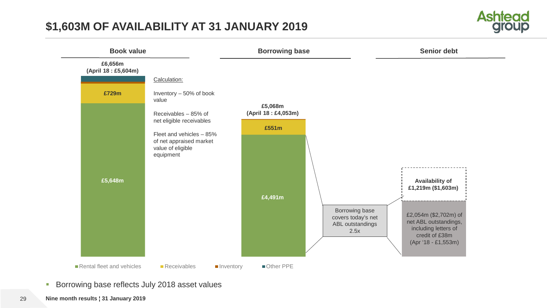# **\$1,603M OF AVAILABILITY AT 31 JANUARY 2019**





**Borrowing base reflects July 2018 asset values**